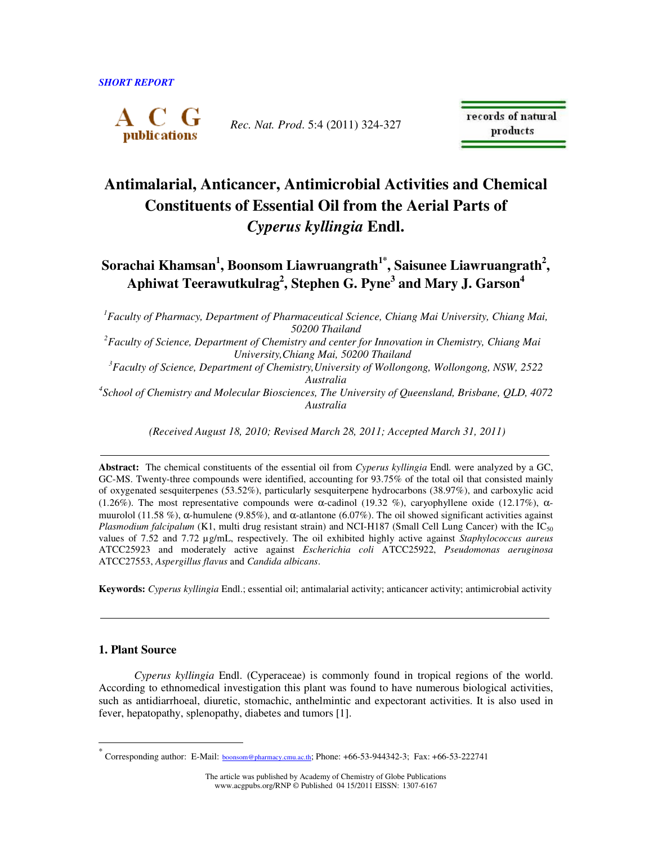

*Rec. Nat. Prod*. 5:4 (2011) 324-327

records of natural products

# **Antimalarial, Anticancer, Antimicrobial Activities and Chemical Constituents of Essential Oil from the Aerial Parts of**  *Cyperus kyllingia* **Endl.**

 $\boldsymbol{\delta}$ Sorachai Khamsan $^1$ , Boonsom Liawruangrath $^{1^*}$ , Saisunee Liawruangrath $^2$ , **Aphiwat Teerawutkulrag<sup>2</sup> , Stephen G. Pyne<sup>3</sup> and Mary J. Garson<sup>4</sup>** 

*<sup>1</sup>Faculty of Pharmacy, Department of Pharmaceutical Science, Chiang Mai University, Chiang Mai, 50200 Thailand* 

*2 Faculty of Science, Department of Chemistry and center for Innovation in Chemistry, Chiang Mai University,Chiang Mai, 50200 Thailand* 

*<sup>3</sup>Faculty of Science, Department of Chemistry,University of Wollongong, Wollongong, NSW, 2522 Australia*

*4 School of Chemistry and Molecular Biosciences, The University of Queensland, Brisbane, QLD, 4072 Australia*

 *(Received August 18, 2010; Revised March 28, 2011; Accepted March 31, 2011)* 

**Abstract:** The chemical constituents of the essential oil from *Cyperus kyllingia* Endl*.* were analyzed by a GC, GC-MS. Twenty-three compounds were identified, accounting for 93.75% of the total oil that consisted mainly of oxygenated sesquiterpenes (53.52%), particularly sesquiterpene hydrocarbons (38.97%), and carboxylic acid (1.26%). The most representative compounds were α-cadinol (19.32 %), caryophyllene oxide (12.17%), αmuurolol (11.58 %),  $\alpha$ -humulene (9.85%), and  $\alpha$ -atlantone (6.07%). The oil showed significant activities against *Plasmodium falcipalum* (K1, multi drug resistant strain) and NCI-H187 (Small Cell Lung Cancer) with the IC<sub>50</sub> values of 7.52 and 7.72 µg/mL, respectively. The oil exhibited highly active against *Staphylococcus aureus* ATCC25923 and moderately active against *Escherichia coli* ATCC25922, *Pseudomonas aeruginosa* ATCC27553, *Aspergillus flavus* and *Candida albicans*.

**Keywords:** *Cyperus kyllingia* Endl.; essential oil; antimalarial activity; anticancer activity; antimicrobial activity

## **1. Plant Source**

 $\overline{a}$ 

*Cyperus kyllingia* Endl. (Cyperaceae) is commonly found in tropical regions of the world. According to ethnomedical investigation this plant was found to have numerous biological activities, such as antidiarrhoeal, diuretic, stomachic, anthelmintic and expectorant activities. It is also used in fever, hepatopathy, splenopathy, diabetes and tumors [1].

<sup>\*</sup> Corresponding author: E-Mail: boonsom@pharmacy.cmu.ac.th; Phone: +66-53-944342-3; Fax: +66-53-222741

The article was published by Academy of Chemistry of Globe Publications www.acgpubs.org/RNP © Published 04 15/2011 EISSN: 1307-6167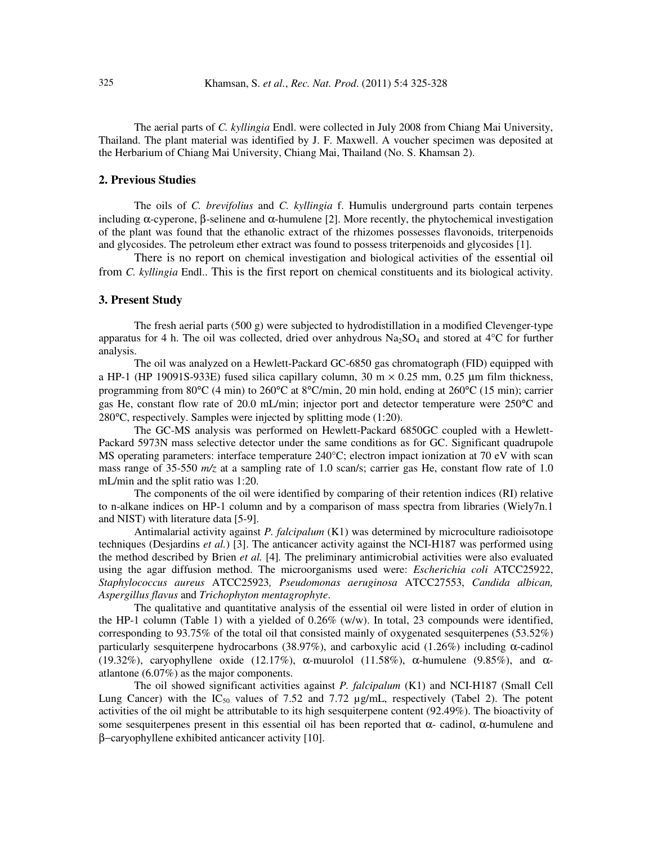The aerial parts of *C. kyllingia* Endl. were collected in July 2008 from Chiang Mai University, Thailand. The plant material was identified by J. F. Maxwell. A voucher specimen was deposited at the Herbarium of Chiang Mai University, Chiang Mai, Thailand (No. S. Khamsan 2).

#### **2. Previous Studies**

 The oils of *C. brevifolius* and *C. kyllingia* f. Humulis underground parts contain terpenes including α-cyperone, β-selinene and α-humulene [2]. More recently, the phytochemical investigation of the plant was found that the ethanolic extract of the rhizomes possesses flavonoids, triterpenoids and glycosides. The petroleum ether extract was found to possess triterpenoids and glycosides [1].

 There is no report on chemical investigation and biological activities of the essential oil from *C. kyllingia* Endl.. This is the first report on chemical constituents and its biological activity.

### **3. Present Study**

The fresh aerial parts (500 g) were subjected to hydrodistillation in a modified Clevenger-type apparatus for 4 h. The oil was collected, dried over anhydrous  $Na<sub>2</sub>SO<sub>4</sub>$  and stored at 4<sup>o</sup>C for further analysis.

The oil was analyzed on a Hewlett-Packard GC-6850 gas chromatograph (FID) equipped with a HP-1 (HP 19091S-933E) fused silica capillary column,  $30 \text{ m} \times 0.25 \text{ mm}$ ,  $0.25 \text{ µm}$  film thickness, programming from 80°C (4 min) to 260°C at 8°C/min, 20 min hold, ending at 260°C (15 min); carrier gas He, constant flow rate of 20.0 mL/min; injector port and detector temperature were 250°C and 280°C, respectively. Samples were injected by splitting mode (1:20).

The GC-MS analysis was performed on Hewlett-Packard 6850GC coupled with a Hewlett-Packard 5973N mass selective detector under the same conditions as for GC. Significant quadrupole MS operating parameters: interface temperature 240°C; electron impact ionization at 70 eV with scan mass range of 35-550  $m/z$  at a sampling rate of 1.0 scan/s; carrier gas He, constant flow rate of 1.0 mL/min and the split ratio was 1:20.

The components of the oil were identified by comparing of their retention indices (RI) relative to n-alkane indices on HP-1 column and by a comparison of mass spectra from libraries (Wiely7n.1 and NIST) with literature data [5-9].

Antimalarial activity against *P. falcipalum* (K1) was determined by microculture radioisotope techniques (Desjardins *et al.*) [3]. The anticancer activity against the NCI-H187 was performed using the method described by Brien *et al.* [4]*.* The preliminary antimicrobial activities were also evaluated using the agar diffusion method. The microorganisms used were: *Escherichia coli* ATCC25922, *Staphylococcus aureus* ATCC25923*, Pseudomonas aeruginosa* ATCC27553, *Candida albican, Aspergillus flavus* and *Trichophyton mentagrophyte*.

The qualitative and quantitative analysis of the essential oil were listed in order of elution in the HP-1 column (Table 1) with a yielded of 0.26% (w/w). In total, 23 compounds were identified, corresponding to 93.75% of the total oil that consisted mainly of oxygenated sesquiterpenes (53.52%) particularly sesquiterpene hydrocarbons (38.97%), and carboxylic acid (1.26%) including α-cadinol (19.32%), caryophyllene oxide (12.17%),  $\alpha$ -muurolol (11.58%),  $\alpha$ -humulene (9.85%), and  $\alpha$ atlantone (6.07%) as the major components.

The oil showed significant activities against *P. falcipalum* (K1) and NCI-H187 (Small Cell Lung Cancer) with the  $IC_{50}$  values of 7.52 and 7.72  $\mu$ g/mL, respectively (Tabel 2). The potent activities of the oil might be attributable to its high sesquiterpene content (92.49%). The bioactivity of some sesquiterpenes present in this essential oil has been reported that  $\alpha$ - cadinol,  $\alpha$ -humulene and β−caryophyllene exhibited anticancer activity [10].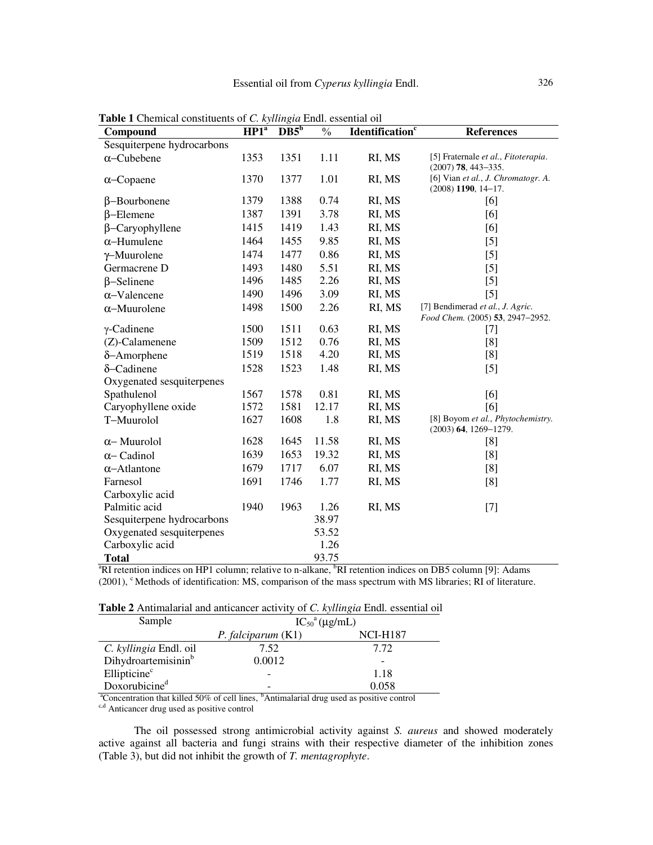| Compound                   | HP1 <sup>a</sup> | $DB5^b$ | $\frac{0}{0}$ | Identification <sup>c</sup> | <b>References</b>                                                    |
|----------------------------|------------------|---------|---------------|-----------------------------|----------------------------------------------------------------------|
| Sesquiterpene hydrocarbons |                  |         |               |                             |                                                                      |
| $\alpha$ -Cubebene         | 1353             | 1351    | 1.11          | RI, MS                      | [5] Fraternale et al., Fitoterapia.<br>$(2007)$ 78, 443-335.         |
| $\alpha$ –Copaene          | 1370             | 1377    | 1.01          | RI, MS                      | [6] Vian et al., J. Chromatogr. A.<br>$(2008)$ 1190, 14-17.          |
| $\beta$ -Bourbonene        | 1379             | 1388    | 0.74          | RI, MS                      | [6]                                                                  |
| $\beta$ -Elemene           | 1387             | 1391    | 3.78          | RI, MS                      | [6]                                                                  |
| $\beta$ -Caryophyllene     | 1415             | 1419    | 1.43          | RI, MS                      | [6]                                                                  |
| $\alpha$ -Humulene         | 1464             | 1455    | 9.85          | RI, MS                      | $[5]$                                                                |
| $\gamma$ -Muurolene        | 1474             | 1477    | 0.86          | RI, MS                      | $[5]$                                                                |
| Germacrene D               | 1493             | 1480    | 5.51          | RI, MS                      | $[5]$                                                                |
| $\beta$ -Selinene          | 1496             | 1485    | 2.26          | RI, MS                      | $[5]$                                                                |
| $\alpha$ -Valencene        | 1490             | 1496    | 3.09          | RI, MS                      | $[5]$                                                                |
| $\alpha$ -Muurolene        | 1498             | 1500    | 2.26          | RI, MS                      | [7] Bendimerad et al., J. Agric.<br>Food Chem. (2005) 53, 2947-2952. |
| $\gamma$ -Cadinene         | 1500             | 1511    | 0.63          | RI, MS                      | $[7]$                                                                |
| $(Z)$ -Calamenene          | 1509             | 1512    | 0.76          | RI, MS                      | [8]                                                                  |
| $\delta$ -Amorphene        | 1519             | 1518    | 4.20          | RI, MS                      | [8]                                                                  |
| δ-Cadinene                 | 1528             | 1523    | 1.48          | RI, MS                      | $[5]$                                                                |
| Oxygenated sesquiterpenes  |                  |         |               |                             |                                                                      |
| Spathulenol                | 1567             | 1578    | 0.81          | RI, MS                      | [6]                                                                  |
| Caryophyllene oxide        | 1572             | 1581    | 12.17         | RI, MS                      | [6]                                                                  |
| T-Muurolol                 | 1627             | 1608    | 1.8           | RI, MS                      | [8] Boyom et al., Phytochemistry.<br>$(2003)$ 64, 1269-1279.         |
| $\alpha$ -Muurolol         | 1628             | 1645    | 11.58         | RI, MS                      | [8]                                                                  |
| $\alpha$ – Cadinol         | 1639             | 1653    | 19.32         | RI, MS                      | [8]                                                                  |
| $\alpha$ -Atlantone        | 1679             | 1717    | 6.07          | RI, MS                      | [8]                                                                  |
| Farnesol                   | 1691             | 1746    | 1.77          | RI, MS                      | [8]                                                                  |
| Carboxylic acid            |                  |         |               |                             |                                                                      |
| Palmitic acid              | 1940             | 1963    | 1.26          | RI, MS                      | $[7]$                                                                |
| Sesquiterpene hydrocarbons |                  |         | 38.97         |                             |                                                                      |
| Oxygenated sesquiterpenes  |                  |         | 53.52         |                             |                                                                      |
| Carboxylic acid            |                  |         | 1.26          |                             |                                                                      |
| <b>Total</b>               |                  |         | 93.75         |                             |                                                                      |

**Table 1** Chemical constituents of *C. kyllingia* Endl. essential oil

<sup>a</sup>RI retention indices on HP1 column; relative to n-alkane, <sup>b</sup>RI retention indices on DB5 column [9]: Adams (2001), <sup>c</sup> Methods of identification: MS, comparison of the mass spectrum with MS libraries; RI of literature.

| Table 2 Antimalarial and anticancer activity of C. kyllingia Endl. essential oil |  |  |  |  |
|----------------------------------------------------------------------------------|--|--|--|--|
|----------------------------------------------------------------------------------|--|--|--|--|

| Sample                          | $IC_{50}$ <sup>a</sup> ( $\mu$ g/mL) |                 |  |  |  |
|---------------------------------|--------------------------------------|-----------------|--|--|--|
|                                 | $P.$ falciparum $(K1)$               | <b>NCI-H187</b> |  |  |  |
| C. kyllingia Endl. oil          | 7.52                                 | 7.72            |  |  |  |
| Dihydroartemisinin <sup>b</sup> | 0.0012                               |                 |  |  |  |
| Ellipticine <sup>c</sup>        | -                                    | 1.18            |  |  |  |
| Doxorubicine <sup>d</sup>       |                                      | 0.058           |  |  |  |

<sup>a</sup>Concentration that killed 50% of cell lines, <sup>b</sup>Antimalarial drug used as positive control

<sup>c,d</sup> Anticancer drug used as positive control

The oil possessed strong antimicrobial activity against *S. aureus* and showed moderately active against all bacteria and fungi strains with their respective diameter of the inhibition zones (Table 3), but did not inhibit the growth of *T. mentagrophyte*.